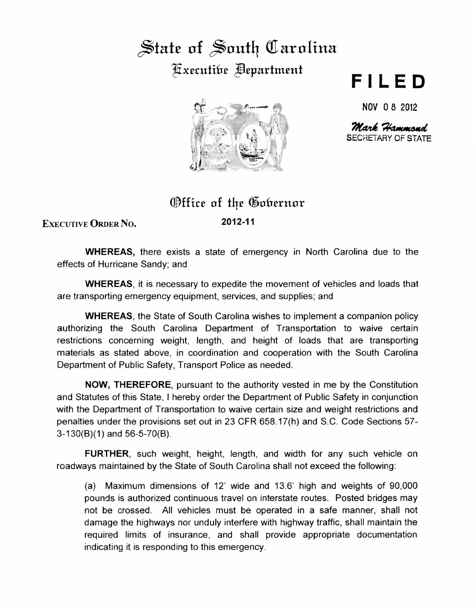## $\frac{1}{2}$  State of South Carolina ~x£cutifn~ ~£partm£nt



## **FILED**

NOV 0 8 2012

Mark Hammond SECRETARY OF STATE

## **Office of the Gobernor**

ExEcuTivE ORDER No.

2012-11

WHEREAS, there exists a state of emergency in North Carolina due to the effects of Hurricane Sandy; and

WHEREAS, it is necessary to expedite the movement of vehicles and loads that are transporting emergency equipment, services, and supplies; and

WHEREAS, the State of South Carolina wishes to implement a companion policy authorizing the South Carolina Department of Transportation to waive certain restrictions concerning weight, length, and height of loads that are transporting materials as stated above, in coordination and cooperation with the South Carolina Department of Public Safety, Transport Police as needed.

NOW, THEREFORE, pursuant to the authority vested in me by the Constitution and Statutes of this State, I hereby order the Department of Public Safety in conjunction with the Department of Transportation to waive certain size and weight restrictions and penalties under the provisions set out in 23 CFR 658.17(h) and S.C. Code Sections 57- 3-130(8)(1) and 56-5-70(8).

FURTHER, such weight, height, length, and width for any such vehicle on roadways maintained by the State of South Carolina shall not exceed the following:

(a) Maximum dimensions of 12' wide and 13.6' high and weights of 90,000 pounds is authorized continuous travel on interstate routes. Posted bridges may not be crossed. All vehicles must be operated in a safe manner, shall not damage the highways nor unduly interfere with highway traffic, shall maintain the required limits of insurance, and shall provide appropriate documentation indicating it is responding to this emergency.